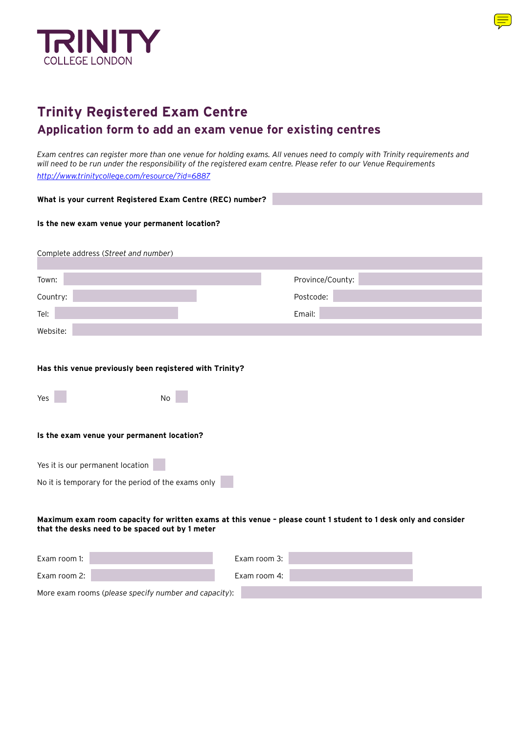

# **Trinity Registered Exam Centre Application form to add an exam venue for existing centres**

*Exam centres can register more than one venue for holding exams. All venues need to comply with Trinity requirements and will need to be run under the responsibility of the registered exam centre. Please refer to our Venue Requirements http://www.trinitycollege.com/resource/?id=6887*

| What is your current Registered Exam Centre (REC) number?                                                                                                          |                  |  |
|--------------------------------------------------------------------------------------------------------------------------------------------------------------------|------------------|--|
| Is the new exam venue your permanent location?                                                                                                                     |                  |  |
| Complete address (Street and number)                                                                                                                               |                  |  |
| Town:                                                                                                                                                              | Province/County: |  |
| Country:                                                                                                                                                           | Postcode:        |  |
| Tel:                                                                                                                                                               | Email:           |  |
| Website:                                                                                                                                                           |                  |  |
| Has this venue previously been registered with Trinity?                                                                                                            |                  |  |
| <b>No</b><br>Yes                                                                                                                                                   |                  |  |
| Is the exam venue your permanent location?                                                                                                                         |                  |  |
| Yes it is our permanent location                                                                                                                                   |                  |  |
| No it is temporary for the period of the exams only                                                                                                                |                  |  |
| Maximum exam room capacity for written exams at this venue - please count 1 student to 1 desk only and consider<br>that the desks need to be spaced out by 1 meter |                  |  |
| Exam room 1:                                                                                                                                                       | Exam room 3:     |  |
| Exam room 2:                                                                                                                                                       | Exam room 4:     |  |
| More exam rooms (please specify number and capacity):                                                                                                              |                  |  |